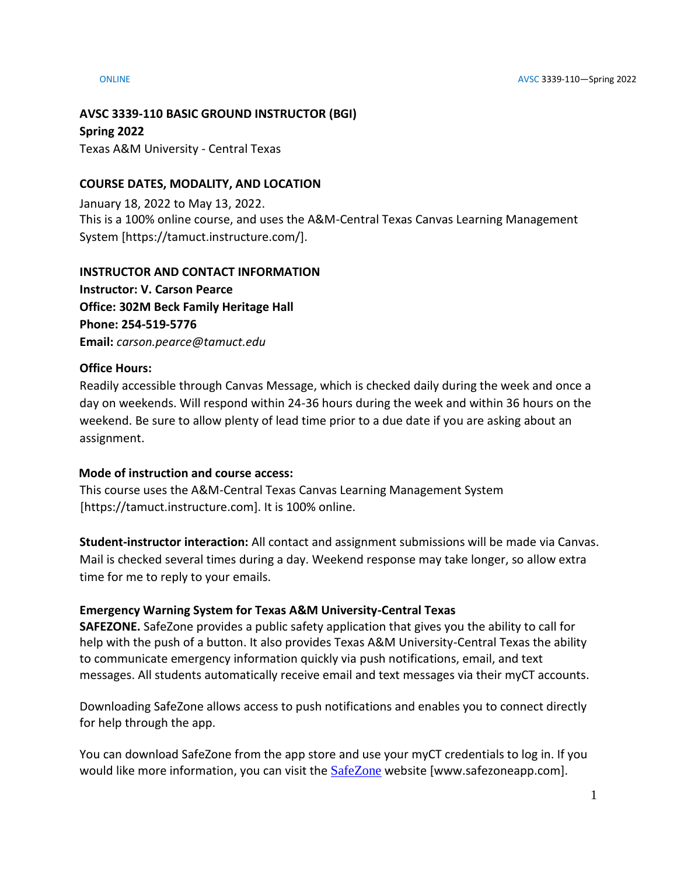## **AVSC 3339-110 BASIC GROUND INSTRUCTOR (BGI)**

**Spring 2022**

Texas A&M University - Central Texas

# **COURSE DATES, MODALITY, AND LOCATION**

January 18, 2022 to May 13, 2022. This is a 100% online course, and uses the A&M-Central Texas Canvas Learning Management System [https://tamuct.instructure.com/].

# **INSTRUCTOR AND CONTACT INFORMATION**

**Instructor: V. Carson Pearce Office: 302M Beck Family Heritage Hall Phone: 254-519-5776 Email:** *carson.pearce@tamuct.edu*

# **Office Hours:**

Readily accessible through Canvas Message, which is checked daily during the week and once a day on weekends. Will respond within 24-36 hours during the week and within 36 hours on the weekend. Be sure to allow plenty of lead time prior to a due date if you are asking about an assignment.

## **Mode of instruction and course access:**

This course uses the A&M-Central Texas Canvas Learning Management System [https://tamuct.instructure.com]. It is 100% online.

**Student-instructor interaction:** All contact and assignment submissions will be made via Canvas. Mail is checked several times during a day. Weekend response may take longer, so allow extra time for me to reply to your emails.

# **Emergency Warning System for Texas A&M University-Central Texas**

**SAFEZONE.** SafeZone provides a public safety application that gives you the ability to call for help with the push of a button. It also provides Texas A&M University-Central Texas the ability to communicate emergency information quickly via push notifications, email, and text messages. All students automatically receive email and text messages via their myCT accounts.

Downloading SafeZone allows access to push notifications and enables you to connect directly for help through the app.

You can download SafeZone from the app store and use your myCT credentials to log in. If you would like more information, you can visit the [SafeZone](https://nam04.safelinks.protection.outlook.com/?url=http%3A%2F%2Fwww.safezoneapp.com%2F&data=04%7C01%7Ccarson.pearce%40tamuct.edu%7C36042fab4fc7434c090008d9c3cb353b%7C9eed4e3000f744849ff193ad8005acec%7C0%7C0%7C637756100428183868%7CUnknown%7CTWFpbGZsb3d8eyJWIjoiMC4wLjAwMDAiLCJQIjoiV2luMzIiLCJBTiI6Ik1haWwiLCJXVCI6Mn0%3D%7C3000&sdata=M9GtdIRPIWaqAL85MChHRNMQgb%2FnvmJdfyjR%2BUN19pk%3D&reserved=0) website [www.safezoneapp.com].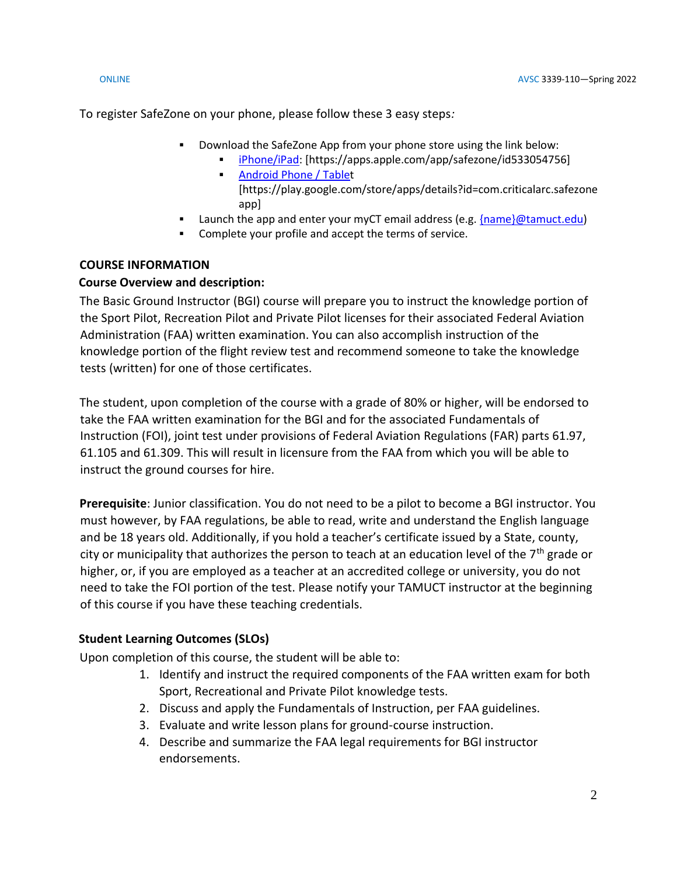To register SafeZone on your phone, please follow these 3 easy steps*:*

- Download the SafeZone App from your phone store using the link below:
	- [iPhone/iPad:](https://nam04.safelinks.protection.outlook.com/?url=https%3A%2F%2Fapps.apple.com%2Fapp%2Fsafezone%2Fid533054756&data=04%7C01%7Ccarson.pearce%40tamuct.edu%7C36042fab4fc7434c090008d9c3cb353b%7C9eed4e3000f744849ff193ad8005acec%7C0%7C0%7C637756100428183868%7CUnknown%7CTWFpbGZsb3d8eyJWIjoiMC4wLjAwMDAiLCJQIjoiV2luMzIiLCJBTiI6Ik1haWwiLCJXVCI6Mn0%3D%7C3000&sdata=vPQVTvekmuTQkNF6pF73JFVExrbMKfheHZ%2BjyIbHOvY%3D&reserved=0) [https://apps.apple.com/app/safezone/id533054756] **[Android Phone / Tablet](https://nam04.safelinks.protection.outlook.com/?url=https%3A%2F%2Fplay.google.com%2Fstore%2Fapps%2Fdetails%3Fid%3Dcom.criticalarc.safezoneapp&data=04%7C01%7Ccarson.pearce%40tamuct.edu%7C36042fab4fc7434c090008d9c3cb353b%7C9eed4e3000f744849ff193ad8005acec%7C0%7C0%7C637756100428183868%7CUnknown%7CTWFpbGZsb3d8eyJWIjoiMC4wLjAwMDAiLCJQIjoiV2luMzIiLCJBTiI6Ik1haWwiLCJXVCI6Mn0%3D%7C3000&sdata=HL5WG7P5ZCWthKyES6ag8naBQllFHtelfPV4m6jfPYg%3D&reserved=0)**
	- [https://play.google.com/store/apps/details?id=com.criticalarc.safezone app]
- Launch the app and enter your myCT email address (e.g. [{name}@tamuct.edu\)](mailto:%7bname%7d@tamuct.edu)
- Complete your profile and accept the terms of service.

# **COURSE INFORMATION**

# **Course Overview and description:**

The Basic Ground Instructor (BGI) course will prepare you to instruct the knowledge portion of the Sport Pilot, Recreation Pilot and Private Pilot licenses for their associated Federal Aviation Administration (FAA) written examination. You can also accomplish instruction of the knowledge portion of the flight review test and recommend someone to take the knowledge tests (written) for one of those certificates.

The student, upon completion of the course with a grade of 80% or higher, will be endorsed to take the FAA written examination for the BGI and for the associated Fundamentals of Instruction (FOI), joint test under provisions of Federal Aviation Regulations (FAR) parts 61.97, 61.105 and 61.309. This will result in licensure from the FAA from which you will be able to instruct the ground courses for hire.

**Prerequisite**: Junior classification. You do not need to be a pilot to become a BGI instructor. You must however, by FAA regulations, be able to read, write and understand the English language and be 18 years old. Additionally, if you hold a teacher's certificate issued by a State, county, city or municipality that authorizes the person to teach at an education level of the  $7<sup>th</sup>$  grade or higher, or, if you are employed as a teacher at an accredited college or university, you do not need to take the FOI portion of the test. Please notify your TAMUCT instructor at the beginning of this course if you have these teaching credentials.

# **Student Learning Outcomes (SLOs)**

Upon completion of this course, the student will be able to:

- 1. Identify and instruct the required components of the FAA written exam for both Sport, Recreational and Private Pilot knowledge tests.
- 2. Discuss and apply the Fundamentals of Instruction, per FAA guidelines.
- 3. Evaluate and write lesson plans for ground-course instruction.
- 4. Describe and summarize the FAA legal requirements for BGI instructor endorsements.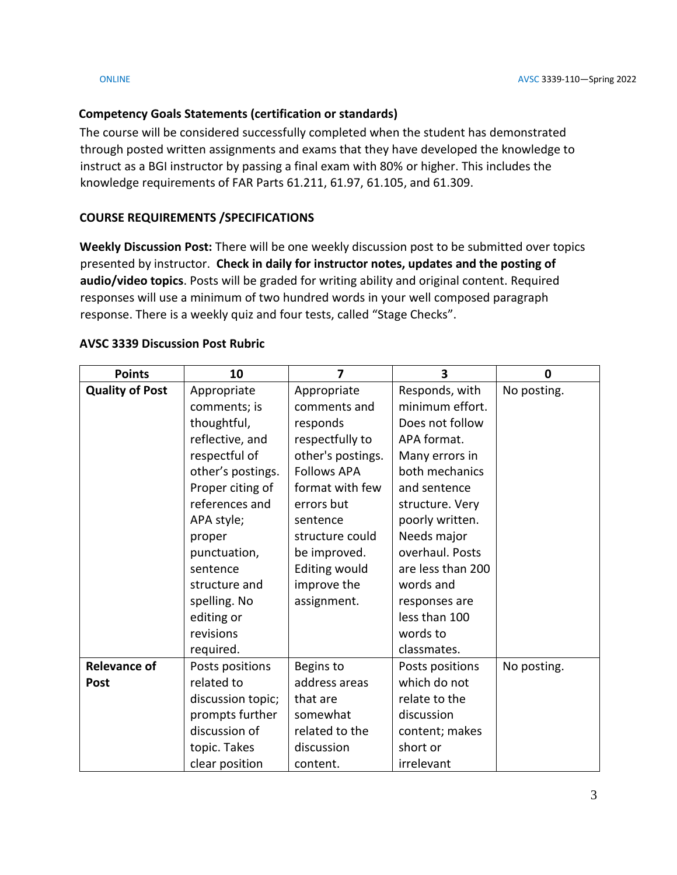# **Competency Goals Statements (certification or standards)**

The course will be considered successfully completed when the student has demonstrated through posted written assignments and exams that they have developed the knowledge to instruct as a BGI instructor by passing a final exam with 80% or higher. This includes the knowledge requirements of FAR Parts 61.211, 61.97, 61.105, and 61.309.

# **COURSE REQUIREMENTS /SPECIFICATIONS**

**Weekly Discussion Post:** There will be one weekly discussion post to be submitted over topics presented by instructor. **Check in daily for instructor notes, updates and the posting of audio/video topics**. Posts will be graded for writing ability and original content. Required responses will use a minimum of two hundred words in your well composed paragraph response. There is a weekly quiz and four tests, called "Stage Checks".

| <b>Points</b>          | 10                | $\overline{7}$     | 3                 | 0           |
|------------------------|-------------------|--------------------|-------------------|-------------|
| <b>Quality of Post</b> | Appropriate       | Appropriate        | Responds, with    | No posting. |
|                        | comments; is      | comments and       | minimum effort.   |             |
|                        | thoughtful,       | responds           | Does not follow   |             |
|                        | reflective, and   | respectfully to    | APA format.       |             |
|                        | respectful of     | other's postings.  | Many errors in    |             |
|                        | other's postings. | <b>Follows APA</b> | both mechanics    |             |
|                        | Proper citing of  | format with few    | and sentence      |             |
|                        | references and    | errors but         | structure. Very   |             |
|                        | APA style;        | sentence           | poorly written.   |             |
|                        | proper            | structure could    | Needs major       |             |
|                        | punctuation,      | be improved.       | overhaul. Posts   |             |
|                        | sentence          | Editing would      | are less than 200 |             |
|                        | structure and     | improve the        | words and         |             |
|                        | spelling. No      | assignment.        | responses are     |             |
|                        | editing or        |                    | less than 100     |             |
|                        | revisions         |                    | words to          |             |
|                        | required.         |                    | classmates.       |             |
| <b>Relevance of</b>    | Posts positions   | Begins to          | Posts positions   | No posting. |
| Post                   | related to        | address areas      | which do not      |             |
|                        | discussion topic; | that are           | relate to the     |             |
|                        | prompts further   | somewhat           | discussion        |             |
|                        | discussion of     | related to the     | content; makes    |             |
|                        | topic. Takes      | discussion         | short or          |             |
|                        | clear position    | content.           | irrelevant        |             |

## **AVSC 3339 Discussion Post Rubric**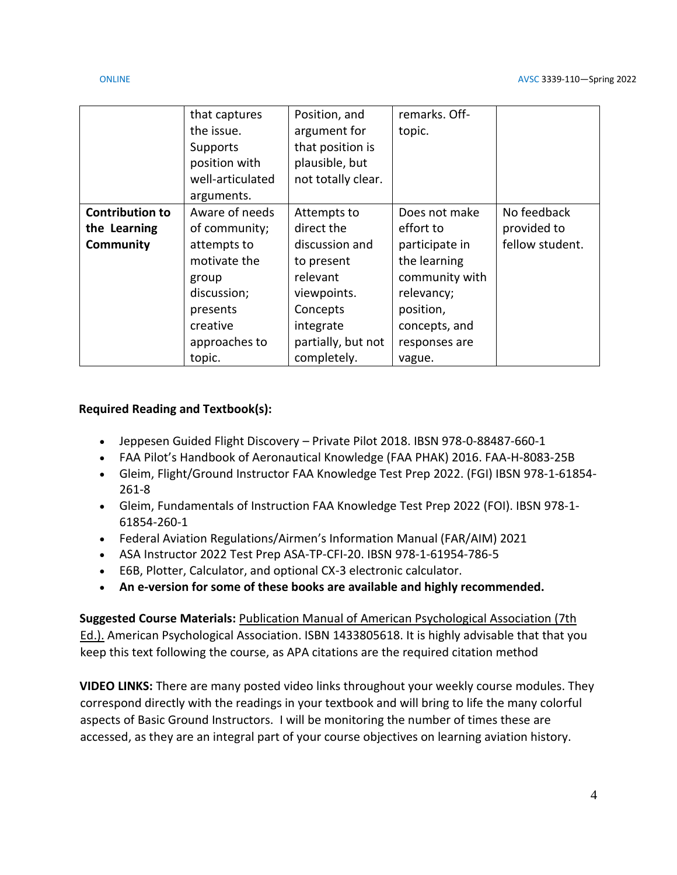|                        | that captures<br>the issue.<br>Supports | Position, and<br>argument for<br>that position is | remarks. Off-<br>topic. |                 |
|------------------------|-----------------------------------------|---------------------------------------------------|-------------------------|-----------------|
|                        | position with                           | plausible, but                                    |                         |                 |
|                        | well-articulated<br>arguments.          | not totally clear.                                |                         |                 |
| <b>Contribution to</b> | Aware of needs                          | Attempts to                                       | Does not make           | No feedback     |
| the Learning           | of community;                           | direct the                                        | effort to               | provided to     |
| Community              | attempts to                             | discussion and                                    | participate in          | fellow student. |
|                        | motivate the                            | to present                                        | the learning            |                 |
|                        | group                                   | relevant                                          | community with          |                 |
|                        | discussion;                             | viewpoints.                                       | relevancy;              |                 |
|                        | presents                                | Concepts                                          | position,               |                 |
|                        | creative                                | integrate                                         | concepts, and           |                 |
|                        | approaches to                           | partially, but not                                | responses are           |                 |
|                        | topic.                                  | completely.                                       | vague.                  |                 |

## **Required Reading and Textbook(s):**

- Jeppesen Guided Flight Discovery Private Pilot 2018. IBSN 978-0-88487-660-1
- FAA Pilot's Handbook of Aeronautical Knowledge (FAA PHAK) 2016. FAA-H-8083-25B
- Gleim, Flight/Ground Instructor FAA Knowledge Test Prep 2022. (FGI) IBSN 978-1-61854- 261-8
- Gleim, Fundamentals of Instruction FAA Knowledge Test Prep 2022 (FOI). IBSN 978-1- 61854-260-1
- Federal Aviation Regulations/Airmen's Information Manual (FAR/AIM) 2021
- ASA Instructor 2022 Test Prep ASA-TP-CFI-20. IBSN 978-1-61954-786-5
- E6B, Plotter, Calculator, and optional CX-3 electronic calculator.
- **An e-version for some of these books are available and highly recommended.**

**Suggested Course Materials:** Publication Manual of American Psychological Association (7th Ed.). American Psychological Association. ISBN 1433805618. It is highly advisable that that you keep this text following the course, as APA citations are the required citation method

**VIDEO LINKS:** There are many posted video links throughout your weekly course modules. They correspond directly with the readings in your textbook and will bring to life the many colorful aspects of Basic Ground Instructors. I will be monitoring the number of times these are accessed, as they are an integral part of your course objectives on learning aviation history.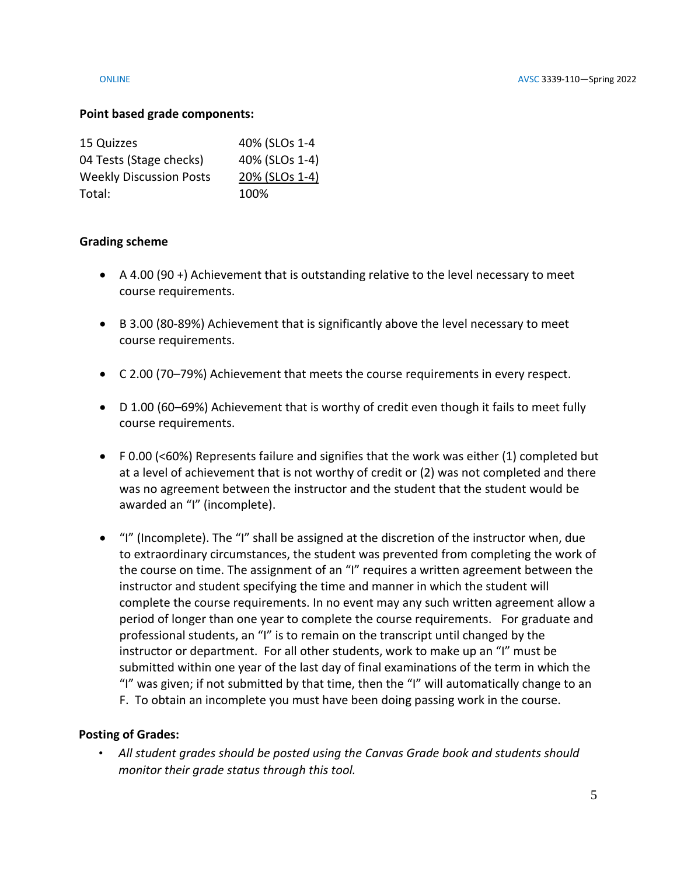## **Point based grade components:**

| 15 Quizzes                     | 40% (SLOs 1-4  |
|--------------------------------|----------------|
| 04 Tests (Stage checks)        | 40% (SLOs 1-4) |
| <b>Weekly Discussion Posts</b> | 20% (SLOs 1-4) |
| Total:                         | 100%           |

## **Grading scheme**

- A 4.00 (90 +) Achievement that is outstanding relative to the level necessary to meet course requirements.
- B 3.00 (80-89%) Achievement that is significantly above the level necessary to meet course requirements.
- C 2.00 (70–79%) Achievement that meets the course requirements in every respect.
- D 1.00 (60–69%) Achievement that is worthy of credit even though it fails to meet fully course requirements.
- F 0.00 (<60%) Represents failure and signifies that the work was either (1) completed but at a level of achievement that is not worthy of credit or (2) was not completed and there was no agreement between the instructor and the student that the student would be awarded an "I" (incomplete).
- "I" (Incomplete). The "I" shall be assigned at the discretion of the instructor when, due to extraordinary circumstances, the student was prevented from completing the work of the course on time. The assignment of an "I" requires a written agreement between the instructor and student specifying the time and manner in which the student will complete the course requirements. In no event may any such written agreement allow a period of longer than one year to complete the course requirements. For graduate and professional students, an "I" is to remain on the transcript until changed by the instructor or department. For all other students, work to make up an "I" must be submitted within one year of the last day of final examinations of the term in which the "I" was given; if not submitted by that time, then the "I" will automatically change to an F. To obtain an incomplete you must have been doing passing work in the course.

## **Posting of Grades:**

• *All student grades should be posted using the Canvas Grade book and students should monitor their grade status through this tool.*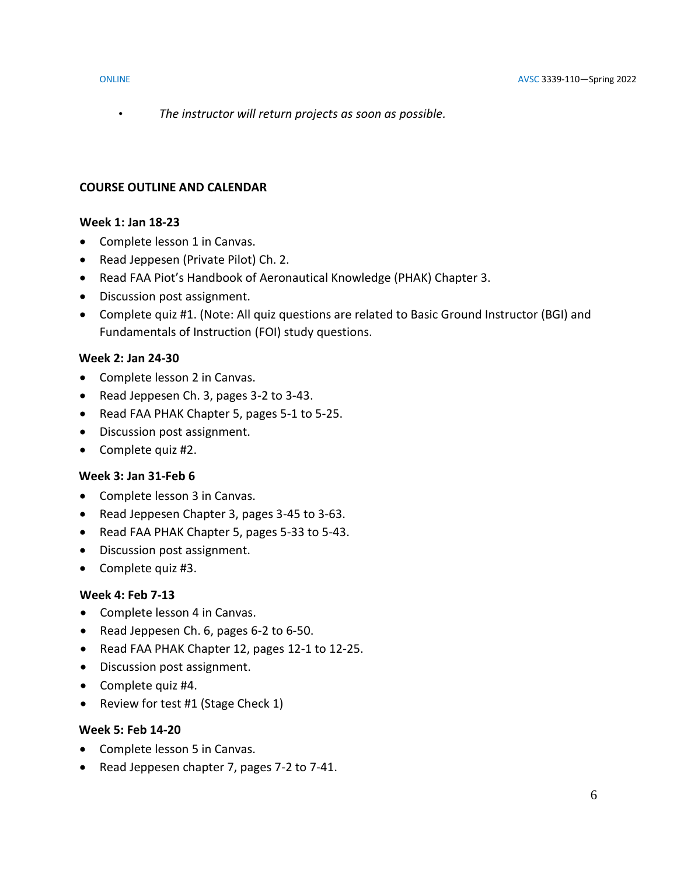• *The instructor will return projects as soon as possible.*

## **COURSE OUTLINE AND CALENDAR**

## **Week 1: Jan 18-23**

- Complete lesson 1 in Canvas.
- Read Jeppesen (Private Pilot) Ch. 2.
- Read FAA Piot's Handbook of Aeronautical Knowledge (PHAK) Chapter 3.
- Discussion post assignment.
- Complete quiz #1. (Note: All quiz questions are related to Basic Ground Instructor (BGI) and Fundamentals of Instruction (FOI) study questions.

## **Week 2: Jan 24-30**

- Complete lesson 2 in Canvas.
- Read Jeppesen Ch. 3, pages 3-2 to 3-43.
- Read FAA PHAK Chapter 5, pages 5-1 to 5-25.
- Discussion post assignment.
- Complete quiz #2.

## **Week 3: Jan 31-Feb 6**

- Complete lesson 3 in Canvas.
- Read Jeppesen Chapter 3, pages 3-45 to 3-63.
- Read FAA PHAK Chapter 5, pages 5-33 to 5-43.
- Discussion post assignment.
- Complete quiz #3.

### **Week 4: Feb 7-13**

- Complete lesson 4 in Canvas.
- Read Jeppesen Ch. 6, pages 6-2 to 6-50.
- Read FAA PHAK Chapter 12, pages 12-1 to 12-25.
- Discussion post assignment.
- Complete quiz #4.
- Review for test #1 (Stage Check 1)

## **Week 5: Feb 14-20**

- Complete lesson 5 in Canvas.
- Read Jeppesen chapter 7, pages 7-2 to 7-41.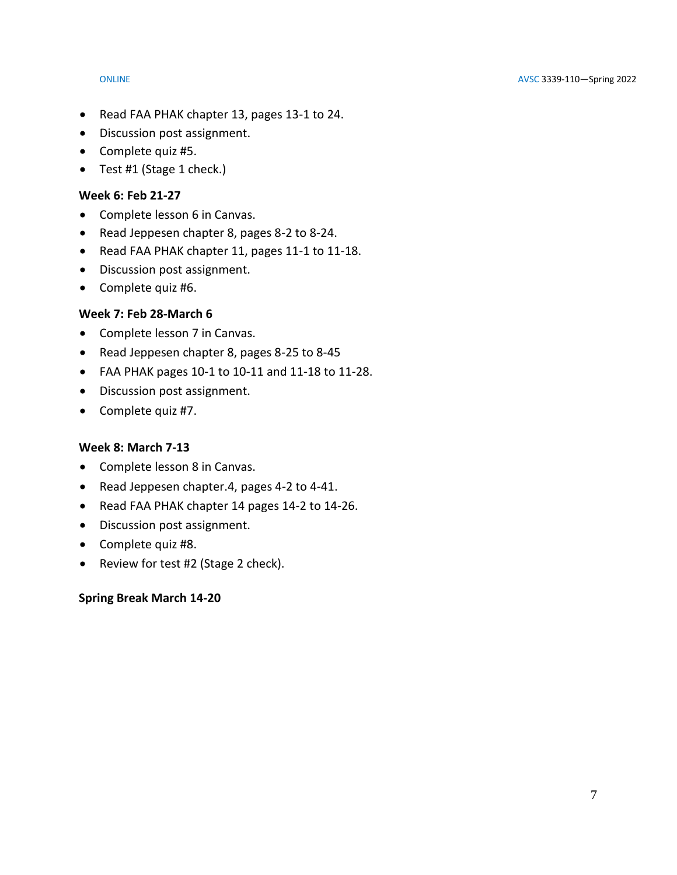- Read FAA PHAK chapter 13, pages 13-1 to 24.
- Discussion post assignment.
- Complete quiz #5.
- Test #1 (Stage 1 check.)

## **Week 6: Feb 21-27**

- Complete lesson 6 in Canvas.
- Read Jeppesen chapter 8, pages 8-2 to 8-24.
- Read FAA PHAK chapter 11, pages 11-1 to 11-18.
- Discussion post assignment.
- Complete quiz #6.

## **Week 7: Feb 28-March 6**

- Complete lesson 7 in Canvas.
- Read Jeppesen chapter 8, pages 8-25 to 8-45
- FAA PHAK pages 10-1 to 10-11 and 11-18 to 11-28.
- Discussion post assignment.
- Complete quiz #7.

## **Week 8: March 7-13**

- Complete lesson 8 in Canvas.
- Read Jeppesen chapter.4, pages 4-2 to 4-41.
- Read FAA PHAK chapter 14 pages 14-2 to 14-26.
- Discussion post assignment.
- Complete quiz #8.
- Review for test #2 (Stage 2 check).

## **Spring Break March 14-20**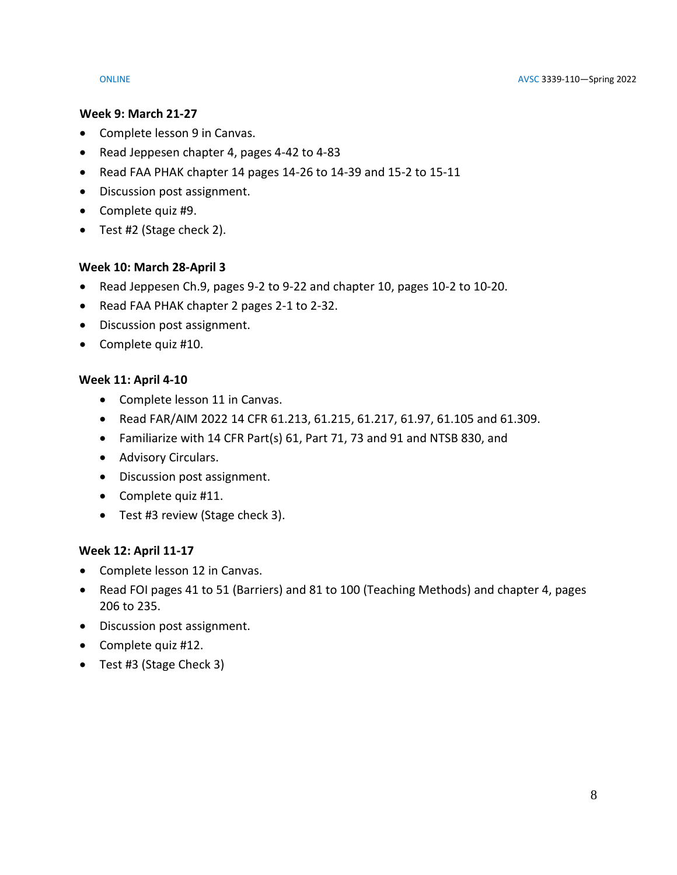## **Week 9: March 21-27**

- Complete lesson 9 in Canvas.
- Read Jeppesen chapter 4, pages 4-42 to 4-83
- Read FAA PHAK chapter 14 pages 14-26 to 14-39 and 15-2 to 15-11
- Discussion post assignment.
- Complete quiz #9.
- Test #2 (Stage check 2).

## **Week 10: March 28-April 3**

- Read Jeppesen Ch.9, pages 9-2 to 9-22 and chapter 10, pages 10-2 to 10-20.
- Read FAA PHAK chapter 2 pages 2-1 to 2-32.
- Discussion post assignment.
- Complete quiz #10.

## **Week 11: April 4-10**

- Complete lesson 11 in Canvas.
- Read FAR/AIM 2022 14 CFR 61.213, 61.215, 61.217, 61.97, 61.105 and 61.309.
- Familiarize with 14 CFR Part(s) 61, Part 71, 73 and 91 and NTSB 830, and
- Advisory Circulars.
- Discussion post assignment.
- Complete quiz #11.
- Test #3 review (Stage check 3).

## **Week 12: April 11-17**

- Complete lesson 12 in Canvas.
- Read FOI pages 41 to 51 (Barriers) and 81 to 100 (Teaching Methods) and chapter 4, pages 206 to 235.
- Discussion post assignment.
- Complete quiz #12.
- Test #3 (Stage Check 3)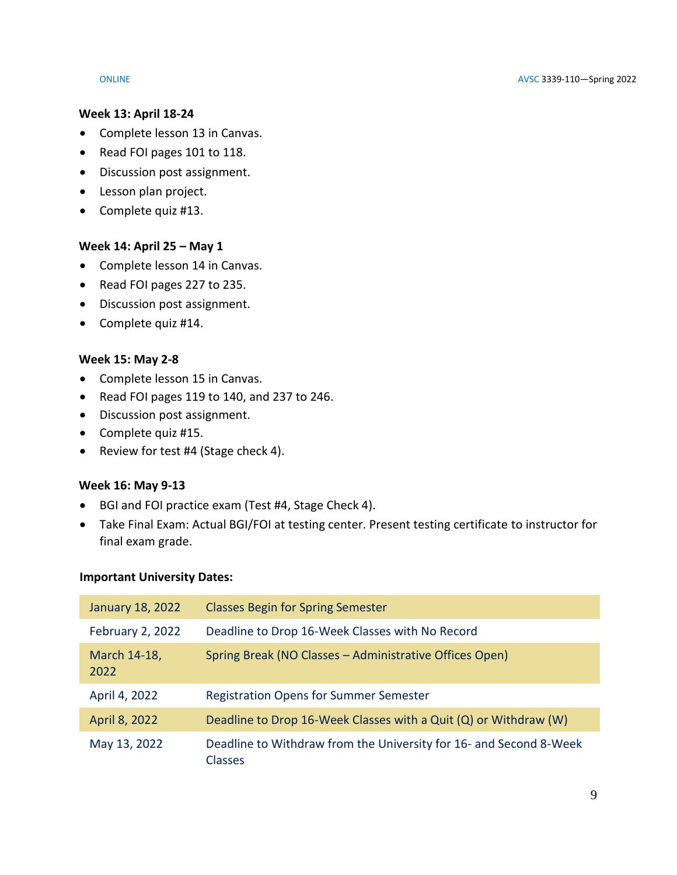### **Week 13: April 18-24**

- Complete lesson 13 in Canvas.
- Read FOI pages 101 to 118.
- Discussion post assignment.
- Lesson plan project.
- Complete quiz #13.

## **Week 14: April 25 – May 1**

- Complete lesson 14 in Canvas.
- Read FOI pages 227 to 235.
- Discussion post assignment.
- Complete quiz #14.

## **Week 15: May 2-8**

- Complete lesson 15 in Canvas.
- Read FOI pages 119 to 140, and 237 to 246.
- Discussion post assignment.
- Complete quiz #15.
- Review for test #4 (Stage check 4).

## **Week 16: May 9-13**

- BGI and FOI practice exam (Test #4, Stage Check 4).
- Take Final Exam: Actual BGI/FOI at testing center. Present testing certificate to instructor for final exam grade.

## **Important University Dates:**

| January 18, 2022        | <b>Classes Begin for Spring Semester</b>                                             |
|-------------------------|--------------------------------------------------------------------------------------|
| <b>February 2, 2022</b> | Deadline to Drop 16-Week Classes with No Record                                      |
| March 14-18,<br>2022    | Spring Break (NO Classes - Administrative Offices Open)                              |
| April 4, 2022           | <b>Registration Opens for Summer Semester</b>                                        |
| April 8, 2022           | Deadline to Drop 16-Week Classes with a Quit (Q) or Withdraw (W)                     |
| May 13, 2022            | Deadline to Withdraw from the University for 16- and Second 8-Week<br><b>Classes</b> |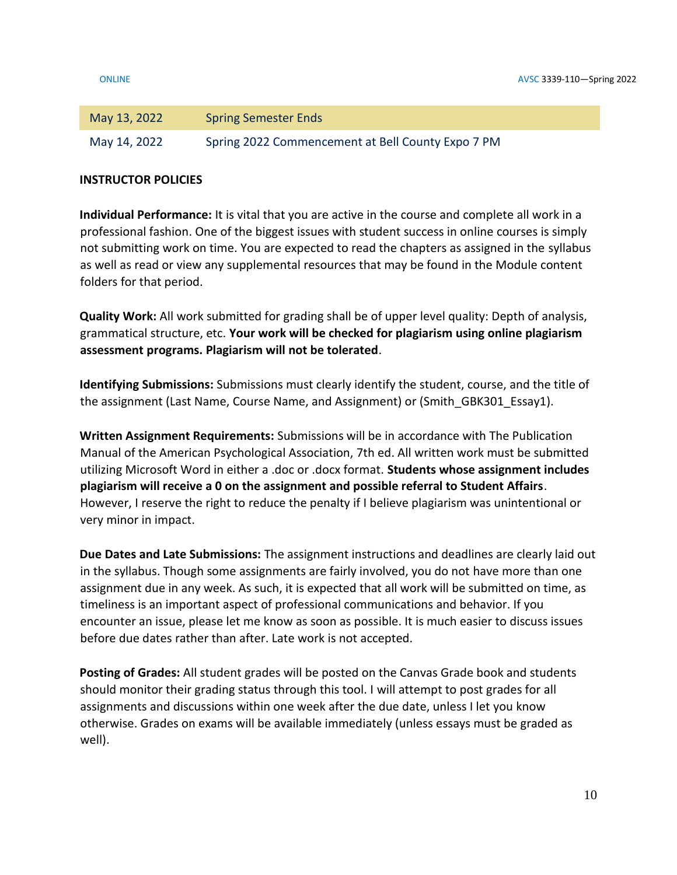| May 13, 2022 | <b>Spring Semester Ends</b>                       |
|--------------|---------------------------------------------------|
| May 14, 2022 | Spring 2022 Commencement at Bell County Expo 7 PM |

## **INSTRUCTOR POLICIES**

**Individual Performance:** It is vital that you are active in the course and complete all work in a professional fashion. One of the biggest issues with student success in online courses is simply not submitting work on time. You are expected to read the chapters as assigned in the syllabus as well as read or view any supplemental resources that may be found in the Module content folders for that period.

**Quality Work:** All work submitted for grading shall be of upper level quality: Depth of analysis, grammatical structure, etc. **Your work will be checked for plagiarism using online plagiarism assessment programs. Plagiarism will not be tolerated**.

**Identifying Submissions:** Submissions must clearly identify the student, course, and the title of the assignment (Last Name, Course Name, and Assignment) or (Smith GBK301 Essay1).

**Written Assignment Requirements:** Submissions will be in accordance with The Publication Manual of the American Psychological Association, 7th ed. All written work must be submitted utilizing Microsoft Word in either a .doc or .docx format. **Students whose assignment includes plagiarism will receive a 0 on the assignment and possible referral to Student Affairs**. However, I reserve the right to reduce the penalty if I believe plagiarism was unintentional or very minor in impact.

**Due Dates and Late Submissions:** The assignment instructions and deadlines are clearly laid out in the syllabus. Though some assignments are fairly involved, you do not have more than one assignment due in any week. As such, it is expected that all work will be submitted on time, as timeliness is an important aspect of professional communications and behavior. If you encounter an issue, please let me know as soon as possible. It is much easier to discuss issues before due dates rather than after. Late work is not accepted.

**Posting of Grades:** All student grades will be posted on the Canvas Grade book and students should monitor their grading status through this tool. I will attempt to post grades for all assignments and discussions within one week after the due date, unless I let you know otherwise. Grades on exams will be available immediately (unless essays must be graded as well).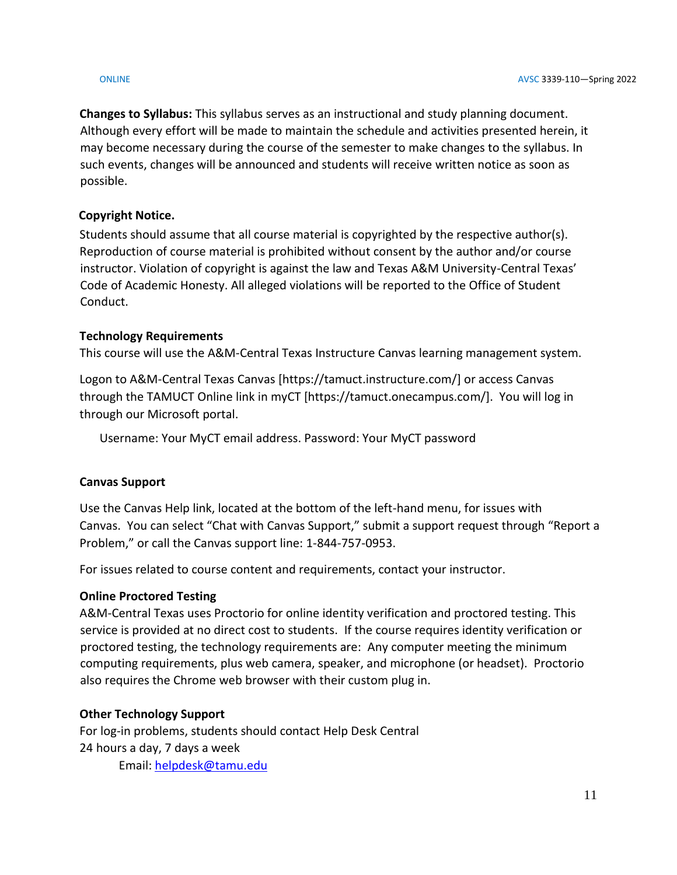**Changes to Syllabus:** This syllabus serves as an instructional and study planning document. Although every effort will be made to maintain the schedule and activities presented herein, it may become necessary during the course of the semester to make changes to the syllabus. In such events, changes will be announced and students will receive written notice as soon as possible.

# **Copyright Notice.**

Students should assume that all course material is copyrighted by the respective author(s). Reproduction of course material is prohibited without consent by the author and/or course instructor. Violation of copyright is against the law and Texas A&M University-Central Texas' Code of Academic Honesty. All alleged violations will be reported to the Office of Student Conduct.

## **Technology Requirements**

This course will use the A&M-Central Texas Instructure Canvas learning management system.

Logon to A&M-Central Texas Canvas [https://tamuct.instructure.com/] or access Canvas through the TAMUCT Online link in myCT [https://tamuct.onecampus.com/]. You will log in through our Microsoft portal.

Username: Your MyCT email address. Password: Your MyCT password

## **Canvas Support**

Use the Canvas Help link, located at the bottom of the left-hand menu, for issues with Canvas. You can select "Chat with Canvas Support," submit a support request through "Report a Problem," or call the Canvas support line: 1-844-757-0953.

For issues related to course content and requirements, contact your instructor.

## **Online Proctored Testing**

A&M-Central Texas uses Proctorio for online identity verification and proctored testing. This service is provided at no direct cost to students. If the course requires identity verification or proctored testing, the technology requirements are: Any computer meeting the minimum computing requirements, plus web camera, speaker, and microphone (or headset). Proctorio also requires the Chrome web browser with their custom plug in.

## **Other Technology Support**

For log-in problems, students should contact Help Desk Central 24 hours a day, 7 days a week Email: [helpdesk@tamu.edu](mailto:helpdesk@tamu.edu)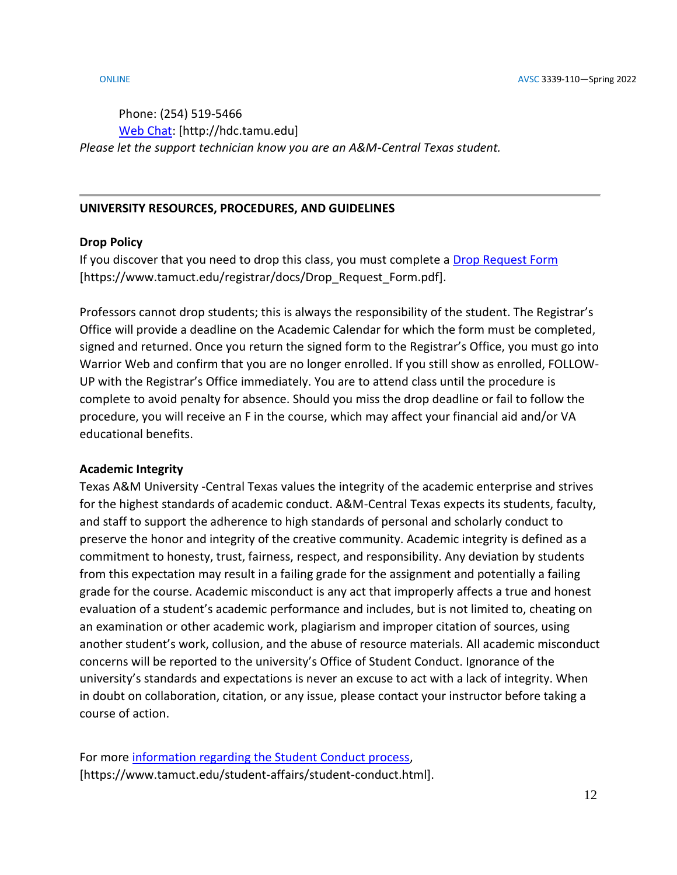# Phone: (254) 519-5466 [Web Chat:](http://hdc.tamu.edu/) [http://hdc.tamu.edu] *Please let the support technician know you are an A&M-Central Texas student.*

## **UNIVERSITY RESOURCES, PROCEDURES, AND GUIDELINES**

## **Drop Policy**

If you discover that you need to drop this class, you must complete a [Drop Request Form](https://www.tamuct.edu/registrar/docs/Drop_Request_Form.pdf) [https://www.tamuct.edu/registrar/docs/Drop\_Request\_Form.pdf].

Professors cannot drop students; this is always the responsibility of the student. The Registrar's Office will provide a deadline on the Academic Calendar for which the form must be completed, signed and returned. Once you return the signed form to the Registrar's Office, you must go into Warrior Web and confirm that you are no longer enrolled. If you still show as enrolled, FOLLOW-UP with the Registrar's Office immediately. You are to attend class until the procedure is complete to avoid penalty for absence. Should you miss the drop deadline or fail to follow the procedure, you will receive an F in the course, which may affect your financial aid and/or VA educational benefits.

## **Academic Integrity**

Texas A&M University -Central Texas values the integrity of the academic enterprise and strives for the highest standards of academic conduct. A&M-Central Texas expects its students, faculty, and staff to support the adherence to high standards of personal and scholarly conduct to preserve the honor and integrity of the creative community. Academic integrity is defined as a commitment to honesty, trust, fairness, respect, and responsibility. Any deviation by students from this expectation may result in a failing grade for the assignment and potentially a failing grade for the course. Academic misconduct is any act that improperly affects a true and honest evaluation of a student's academic performance and includes, but is not limited to, cheating on an examination or other academic work, plagiarism and improper citation of sources, using another student's work, collusion, and the abuse of resource materials. All academic misconduct concerns will be reported to the university's Office of Student Conduct. Ignorance of the university's standards and expectations is never an excuse to act with a lack of integrity. When in doubt on collaboration, citation, or any issue, please contact your instructor before taking a course of action.

```
For more information regarding the Student Conduct process, 
[https://www.tamuct.edu/student-affairs/student-conduct.html].
```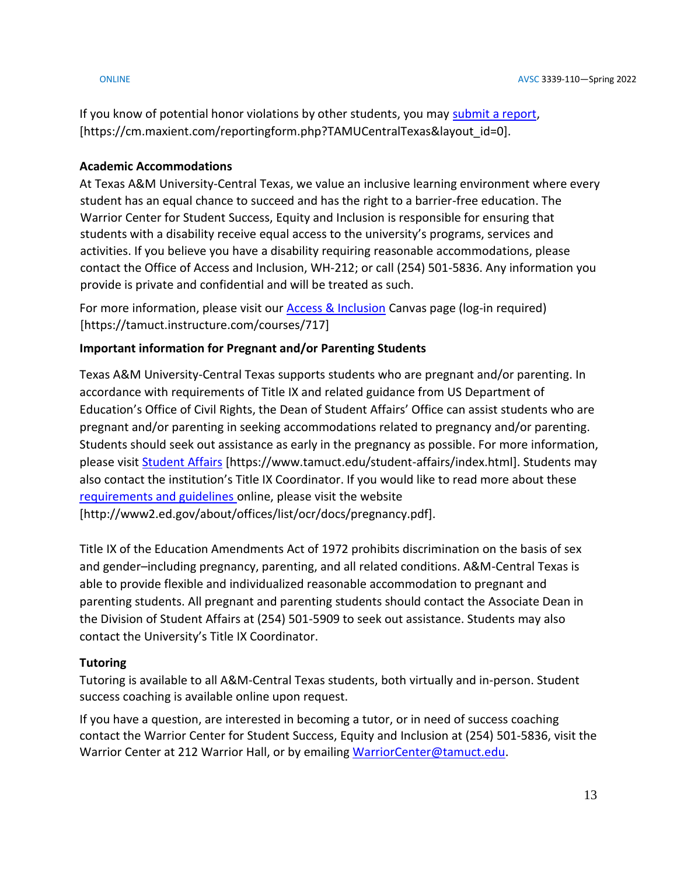If you know of potential honor violations by other students, you may [submit a report,](https://cm.maxient.com/reportingform.php?TAMUCentralTexas&layout_id=0) [https://cm.maxient.com/reportingform.php?TAMUCentralTexas&layout\_id=0].

## **Academic Accommodations**

At Texas A&M University-Central Texas, we value an inclusive learning environment where every student has an equal chance to succeed and has the right to a barrier-free education. The Warrior Center for Student Success, Equity and Inclusion is responsible for ensuring that students with a disability receive equal access to the university's programs, services and activities. If you believe you have a disability requiring reasonable accommodations, please contact the Office of Access and Inclusion, WH-212; or call (254) 501-5836. Any information you provide is private and confidential and will be treated as such.

For more information, please visit our **Access & Inclusion** Canvas page (log-in required) [https://tamuct.instructure.com/courses/717]

# **Important information for Pregnant and/or Parenting Students**

Texas A&M University-Central Texas supports students who are pregnant and/or parenting. In accordance with requirements of Title IX and related guidance from US Department of Education's Office of Civil Rights, the Dean of Student Affairs' Office can assist students who are pregnant and/or parenting in seeking accommodations related to pregnancy and/or parenting. Students should seek out assistance as early in the pregnancy as possible. For more information, please visit [Student Affairs](https://www.tamuct.edu/student-affairs/index.html) [https://www.tamuct.edu/student-affairs/index.html]. Students may also contact the institution's Title IX Coordinator. If you would like to read more about these [requirements and guidelines](http://www2.ed.gov/about/offices/list/ocr/docs/pregnancy.pdf) online, please visit the website [http://www2.ed.gov/about/offices/list/ocr/docs/pregnancy.pdf].

Title IX of the Education Amendments Act of 1972 prohibits discrimination on the basis of sex and gender–including pregnancy, parenting, and all related conditions. A&M-Central Texas is able to provide flexible and individualized reasonable accommodation to pregnant and parenting students. All pregnant and parenting students should contact the Associate Dean in the Division of Student Affairs at (254) 501-5909 to seek out assistance. Students may also contact the University's Title IX Coordinator.

# **Tutoring**

Tutoring is available to all A&M-Central Texas students, both virtually and in-person. Student success coaching is available online upon request.

If you have a question, are interested in becoming a tutor, or in need of success coaching contact the Warrior Center for Student Success, Equity and Inclusion at (254) 501-5836, visit the Warrior Center at 212 Warrior Hall, or by emailing [WarriorCenter@tamuct.edu.](mailto:WarriorCenter@tamuct.edu)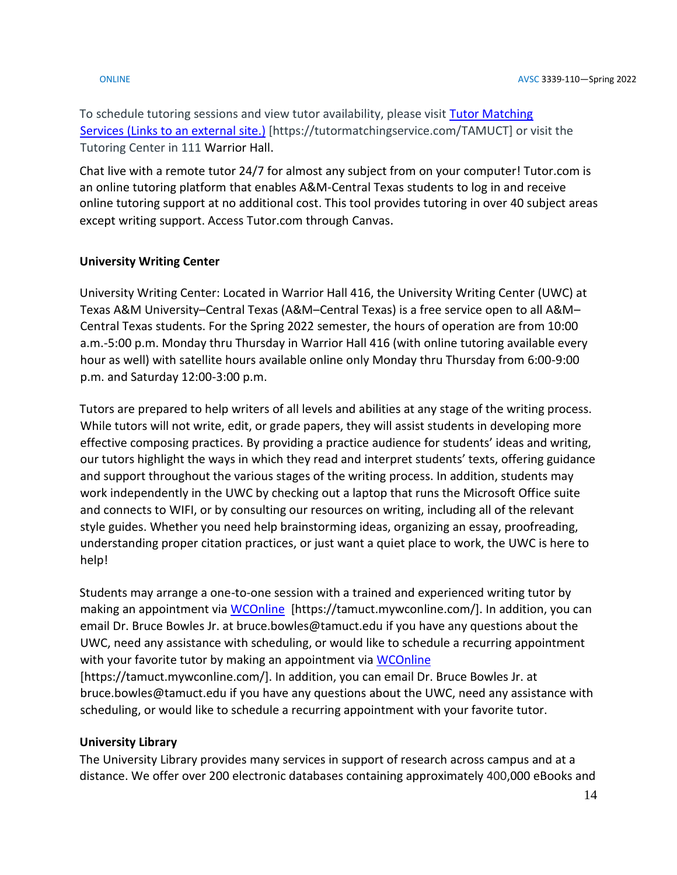To schedule tutoring sessions and view tutor availability, please visit Tutor Matching Services (Links to an [external](https://tutormatchingservice.com/TAMUCT) site.) [https://tutormatchingservice.com/TAMUCT] or visit the Tutoring Center in 111 Warrior Hall.

Chat live with a remote tutor 24/7 for almost any subject from on your computer! Tutor.com is an online tutoring platform that enables A&M-Central Texas students to log in and receive online tutoring support at no additional cost. This tool provides tutoring in over 40 subject areas except writing support. Access Tutor.com through Canvas.

# **University Writing Center**

University Writing Center: Located in Warrior Hall 416, the University Writing Center (UWC) at Texas A&M University–Central Texas (A&M–Central Texas) is a free service open to all A&M– Central Texas students. For the Spring 2022 semester, the hours of operation are from 10:00 a.m.-5:00 p.m. Monday thru Thursday in Warrior Hall 416 (with online tutoring available every hour as well) with satellite hours available online only Monday thru Thursday from 6:00-9:00 p.m. and Saturday 12:00-3:00 p.m.

Tutors are prepared to help writers of all levels and abilities at any stage of the writing process. While tutors will not write, edit, or grade papers, they will assist students in developing more effective composing practices. By providing a practice audience for students' ideas and writing, our tutors highlight the ways in which they read and interpret students' texts, offering guidance and support throughout the various stages of the writing process. In addition, students may work independently in the UWC by checking out a laptop that runs the Microsoft Office suite and connects to WIFI, or by consulting our resources on writing, including all of the relevant style guides. Whether you need help brainstorming ideas, organizing an essay, proofreading, understanding proper citation practices, or just want a quiet place to work, the UWC is here to help!

Students may arrange a one-to-one session with a trained and experienced writing tutor by making an appointment via [WCOnline](https://tamuct.mywconline.com/) [https://tamuct.mywconline.com/]. In addition, you can email Dr. Bruce Bowles Jr. at bruce.bowles@tamuct.edu if you have any questions about the UWC, need any assistance with scheduling, or would like to schedule a recurring appointment with your favorite tutor by making an appointment via [WCOnline](https://tamuct.mywconline.com/) [https://tamuct.mywconline.com/]. In addition, you can email Dr. Bruce Bowles Jr. at bruce.bowles@tamuct.edu if you have any questions about the UWC, need any assistance with

scheduling, or would like to schedule a recurring appointment with your favorite tutor.

## **University Library**

The University Library provides many services in support of research across campus and at a distance. We offer over 200 electronic databases containing approximately 400,000 eBooks and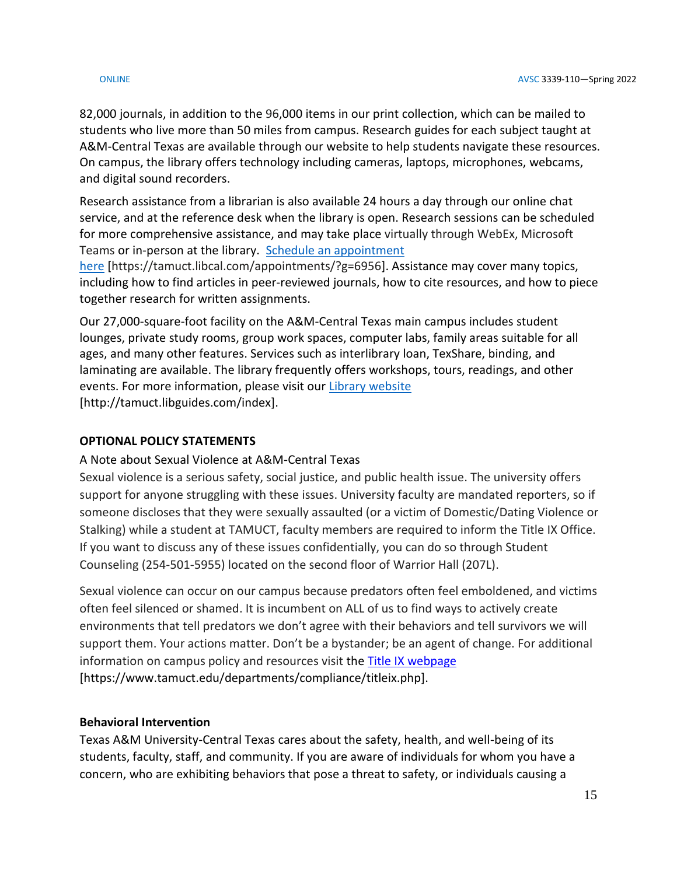82,000 journals, in addition to the 96,000 items in our print collection, which can be mailed to students who live more than 50 miles from campus. Research guides for each subject taught at A&M-Central Texas are available through our website to help students navigate these resources. On campus, the library offers technology including cameras, laptops, microphones, webcams, and digital sound recorders.

Research assistance from a librarian is also available 24 hours a day through our online chat service, and at the reference desk when the library is open. Research sessions can be scheduled for more comprehensive assistance, and may take place virtually through WebEx, Microsoft Teams or in-person at the library. Schedule an [appointment](https://nam04.safelinks.protection.outlook.com/?url=https%3A%2F%2Ftamuct.libcal.com%2Fappointments%2F%3Fg%3D6956&data=04%7C01%7Clisa.bunkowski%40tamuct.edu%7Cde2c07d9f5804f09518008d9ab7ba6ff%7C9eed4e3000f744849ff193ad8005acec%7C0%7C0%7C637729369835011558%7CUnknown%7CTWFpbGZsb3d8eyJWIjoiMC4wLjAwMDAiLCJQIjoiV2luMzIiLCJBTiI6Ik1haWwiLCJXVCI6Mn0%3D%7C3000&sdata=KhtjgRSAw9aq%2FoBsB6wyu8b7PSuGN5EGPypzr3Ty2No%3D&reserved=0)

[here](https://nam04.safelinks.protection.outlook.com/?url=https%3A%2F%2Ftamuct.libcal.com%2Fappointments%2F%3Fg%3D6956&data=04%7C01%7Clisa.bunkowski%40tamuct.edu%7Cde2c07d9f5804f09518008d9ab7ba6ff%7C9eed4e3000f744849ff193ad8005acec%7C0%7C0%7C637729369835011558%7CUnknown%7CTWFpbGZsb3d8eyJWIjoiMC4wLjAwMDAiLCJQIjoiV2luMzIiLCJBTiI6Ik1haWwiLCJXVCI6Mn0%3D%7C3000&sdata=KhtjgRSAw9aq%2FoBsB6wyu8b7PSuGN5EGPypzr3Ty2No%3D&reserved=0) [https://tamuct.libcal.com/appointments/?g=6956]. Assistance may cover many topics, including how to find articles in peer-reviewed journals, how to cite resources, and how to piece together research for written assignments.

Our 27,000-square-foot facility on the A&M-Central Texas main campus includes student lounges, private study rooms, group work spaces, computer labs, family areas suitable for all ages, and many other features. Services such as interlibrary loan, TexShare, binding, and laminating are available. The library frequently offers workshops, tours, readings, and other events. For more information, please visit our Library [website](https://nam04.safelinks.protection.outlook.com/?url=https%3A%2F%2Ftamuct.libguides.com%2Findex&data=04%7C01%7Clisa.bunkowski%40tamuct.edu%7C7d8489e8839a4915335f08d916f067f2%7C9eed4e3000f744849ff193ad8005acec%7C0%7C0%7C637566044056484222%7CUnknown%7CTWFpbGZsb3d8eyJWIjoiMC4wLjAwMDAiLCJQIjoiV2luMzIiLCJBTiI6Ik1haWwiLCJXVCI6Mn0%3D%7C1000&sdata=2R755V6rcIyedGrd4Os5rkgn1PvhHKU3kUV1vBKiHFo%3D&reserved=0) [http://tamuct.libguides.com/index].

# **OPTIONAL POLICY STATEMENTS**

# A Note about Sexual Violence at A&M-Central Texas

Sexual violence is a serious safety, social justice, and public health issue. The university offers support for anyone struggling with these issues. University faculty are mandated reporters, so if someone discloses that they were sexually assaulted (or a victim of Domestic/Dating Violence or Stalking) while a student at TAMUCT, faculty members are required to inform the Title IX Office. If you want to discuss any of these issues confidentially, you can do so through Student Counseling (254-501-5955) located on the second floor of Warrior Hall (207L).

Sexual violence can occur on our campus because predators often feel emboldened, and victims often feel silenced or shamed. It is incumbent on ALL of us to find ways to actively create environments that tell predators we don't agree with their behaviors and tell survivors we will support them. Your actions matter. Don't be a bystander; be an agent of change. For additional information on campus policy and resources visit the **Title IX webpage** [https://www.tamuct.edu/departments/compliance/titleix.php].

## **Behavioral Intervention**

Texas A&M University-Central Texas cares about the safety, health, and well-being of its students, faculty, staff, and community. If you are aware of individuals for whom you have a concern, who are exhibiting behaviors that pose a threat to safety, or individuals causing a